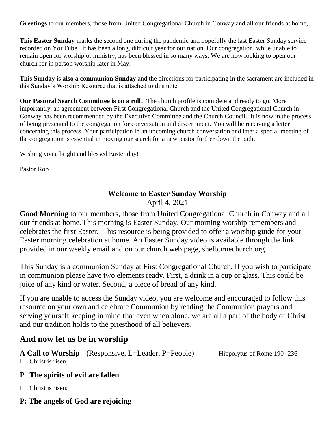**Greetings** to our members, those from United Congregational Church in Conway and all our friends at home,

**This Easter Sunday** marks the second one during the pandemic and hopefully the last Easter Sunday service recorded on YouTube. It has been a long, difficult year for our nation. Our congregation, while unable to remain open for worship or ministry, has been blessed in so many ways. We are now looking to open our church for in person worship later in May.

**This Sunday is also a communion Sunday** and the directions for participating in the sacrament are included in this Sunday's Worship Resource that is attached to this note.

**Our Pastoral Search Committee is on a roll!** The church profile is complete and ready to go. More importantly, an agreement between First Congregational Church and the United Congregational Church in Conway has been recommended by the Executive Committee and the Church Council. It is now in the process of being presented to the congregation for conversation and discernment. You will be receiving a letter concerning this process. Your participation in an upcoming church conversation and later a special meeting of the congregation is essential in moving our search for a new pastor further down the path.

Wishing you a bright and blessed Easter day!

Pastor Rob

# **Welcome to Easter Sunday Worship**

April 4, 2021

**Good Morning** to our members, those from United Congregational Church in Conway and all our friends at home.This morning is Easter Sunday. Our morning worship remembers and celebrates the first Easter. This resource is being provided to offer a worship guide for your Easter morning celebration at home. An Easter Sunday video is available through the link provided in our weekly email and on our church web page, shelburnechurch.org.

This Sunday is a communion Sunday at First Congregational Church. If you wish to participate in communion please have two elements ready. First, a drink in a cup or glass. This could be juice of any kind or water. Second, a piece of bread of any kind.

If you are unable to access the Sunday video, you are welcome and encouraged to follow this resource on your own and celebrate Communion by reading the Communion prayers and serving yourself keeping in mind that even when alone, we are all a part of the body of Christ and our tradition holds to the priesthood of all believers.

# **And now let us be in worship**

A Call to Worship (Responsive, L=Leader, P=People) Hippolytus of Rome 190 -236

L Christ is risen;

# **P The spirits of evil are fallen**

L Christ is risen;

# **P: The angels of God are rejoicing**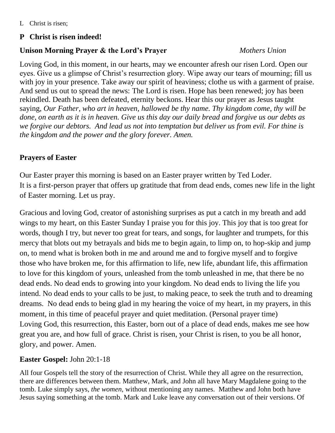# **P Christ is risen indeed!**

# **Unison Morning Prayer & the Lord's Prayer** *Mothers Union*

Loving God, in this moment, in our hearts, may we encounter afresh our risen Lord. Open our eyes. Give us a glimpse of Christ's resurrection glory. Wipe away our tears of mourning; fill us with joy in your presence. Take away our spirit of heaviness; clothe us with a garment of praise. And send us out to spread the news: The Lord is risen. Hope has been renewed; joy has been rekindled. Death has been defeated, eternity beckons. Hear this our prayer as Jesus taught saying, *Our Father, who art in heaven, hallowed be thy name. Thy kingdom come, thy will be done, on earth as it is in heaven. Give us this day our daily bread and forgive us our debts as we forgive our debtors. And lead us not into temptation but deliver us from evil. For thine is the kingdom and the power and the glory forever. Amen.*

# **Prayers of Easter**

Our Easter prayer this morning is based on an Easter prayer written by Ted Loder. It is a first-person prayer that offers up gratitude that from dead ends, comes new life in the light of Easter morning. Let us pray.

Gracious and loving God, creator of astonishing surprises as put a catch in my breath and add wings to my heart, on this Easter Sunday I praise you for this joy. This joy that is too great for words, though I try, but never too great for tears, and songs, for laughter and trumpets, for this mercy that blots out my betrayals and bids me to begin again, to limp on, to hop-skip and jump on, to mend what is broken both in me and around me and to forgive myself and to forgive those who have broken me, for this affirmation to life, new life, abundant life, this affirmation to love for this kingdom of yours, unleashed from the tomb unleashed in me, that there be no dead ends. No dead ends to growing into your kingdom. No dead ends to living the life you intend. No dead ends to your calls to be just, to making peace, to seek the truth and to dreaming dreams. No dead ends to being glad in my hearing the voice of my heart, in my prayers, in this moment, in this time of peaceful prayer and quiet meditation. (Personal prayer time) Loving God, this resurrection, this Easter, born out of a place of dead ends, makes me see how great you are, and how full of grace. Christ is risen, your Christ is risen, to you be all honor, glory, and power. Amen.

# **Easter Gospel:** John 20:1-18

All four Gospels tell the story of the resurrection of Christ. While they all agree on the resurrection, there are differences between them. Matthew, Mark, and John all have Mary Magdalene going to the tomb. Luke simply says*, the women*, without mentioning any names. Matthew and John both have Jesus saying something at the tomb. Mark and Luke leave any conversation out of their versions. Of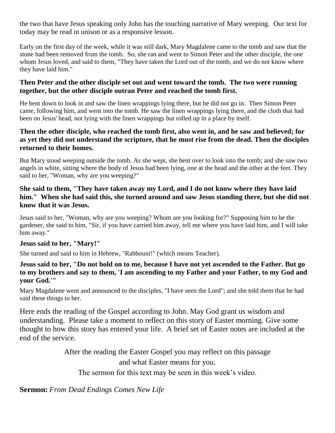the two that have Jesus speaking only John has the touching narrative of Mary weeping. Our text for today may be read in unison or as a responsive lesson.

Early on the first day of the week, while it was still dark, Mary Magdalene came to the tomb and saw that the stone had been removed from the tomb. So, she ran and went to Simon Peter and the other disciple, the one whom Jesus loved, and said to them, "They have taken the Lord out of the tomb, and we do not know where they have laid him."

#### **Then Peter and the other disciple set out and went toward the tomb. The two were running together, but the other disciple outran Peter and reached the tomb first.**

He bent down to look in and saw the linen wrappings lying there, but he did not go in. Then Simon Peter came, following him, and went into the tomb. He saw the linen wrappings lying there, and the cloth that had been on Jesus' head, not lying with the linen wrappings but rolled up in a place by itself.

#### **Then the other disciple, who reached the tomb first, also went in, and he saw and believed; for as yet they did not understand the scripture, that he must rise from the dead. Then the disciples returned to their homes.**

But Mary stood weeping outside the tomb. As she wept, she bent over to look into the tomb; and she saw two angels in white, sitting where the body of Jesus had been lying, one at the head and the other at the feet. They said to her, "Woman, why are you weeping?"

#### **She said to them, "They have taken away my Lord, and I do not know where they have laid him." When she had said this, she turned around and saw Jesus standing there, but she did not know that it was Jesus.**

Jesus said to her, "Woman, why are you weeping? Whom are you looking for?" Supposing him to be the gardener, she said to him, "Sir, if you have carried him away, tell me where you have laid him, and I will take him away."

#### **Jesus said to her, "Mary!"**

She turned and said to him in Hebrew, "Rabbouni!" (which means Teacher).

#### **Jesus said to her, "Do not hold on to me, because I have not yet ascended to the Father. But go to my brothers and say to them, 'I am ascending to my Father and your Father, to my God and your God.'"**

Mary Magdalene went and announced to the disciples, "I have seen the Lord"; and she told them that he had said these things to her.

Here ends the reading of the Gospel according to John. May God grant us wisdom and understanding. Please take a moment to reflect on this story of Easter morning. Give some thought to how this story has entered your life. A brief set of Easter notes are included at the end of the service.

> After the reading the Easter Gospel you may reflect on this passage and what Easter means for you.

The sermon for this text may be seen in this week's video.

**Sermon:** *From Dead Endings Comes New Life*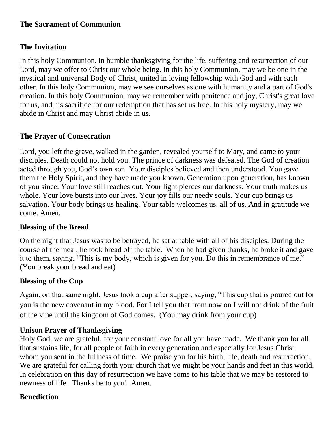### **The Sacrament of Communion**

# **The Invitation**

In this holy Communion, in humble thanksgiving for the life, suffering and resurrection of our Lord, may we offer to Christ our whole being. In this holy Communion, may we be one in the mystical and universal Body of Christ, united in loving fellowship with God and with each other. In this holy Communion, may we see ourselves as one with humanity and a part of God's creation. In this holy Communion, may we remember with penitence and joy, Christ's great love for us, and his sacrifice for our redemption that has set us free. In this holy mystery, may we abide in Christ and may Christ abide in us.

# **The Prayer of Consecration**

Lord, you left the grave, walked in the garden, revealed yourself to Mary, and came to your disciples. Death could not hold you. The prince of darkness was defeated. The God of creation acted through you, God's own son. Your disciples believed and then understood. You gave them the Holy Spirit, and they have made you known. Generation upon generation, has known of you since. Your love still reaches out. Your light pierces our darkness. Your truth makes us whole. Your love bursts into our lives. Your joy fills our needy souls. Your cup brings us salvation. Your body brings us healing. Your table welcomes us, all of us. And in gratitude we come. Amen.

# **Blessing of the Bread**

On the night that Jesus was to be betrayed, he sat at table with all of his disciples. During the course of the meal, he took bread off the table. When he had given thanks, he broke it and gave it to them, saying, "This is my body, which is given for you. Do this in remembrance of me." (You break your bread and eat)

# **Blessing of the Cup**

Again, on that same night, Jesus took a cup after supper, saying, "This cup that is poured out for you is the new covenant in my blood. For I tell you that from now on I will not drink of the fruit of the vine until the kingdom of God comes. (You may drink from your cup)

# **Unison Prayer of Thanksgiving**

Holy God, we are grateful, for your constant love for all you have made. We thank you for all that sustains life, for all people of faith in every generation and especially for Jesus Christ whom you sent in the fullness of time. We praise you for his birth, life, death and resurrection. We are grateful for calling forth your church that we might be your hands and feet in this world. In celebration on this day of resurrection we have come to his table that we may be restored to newness of life. Thanks be to you! Amen.

# **Benediction**